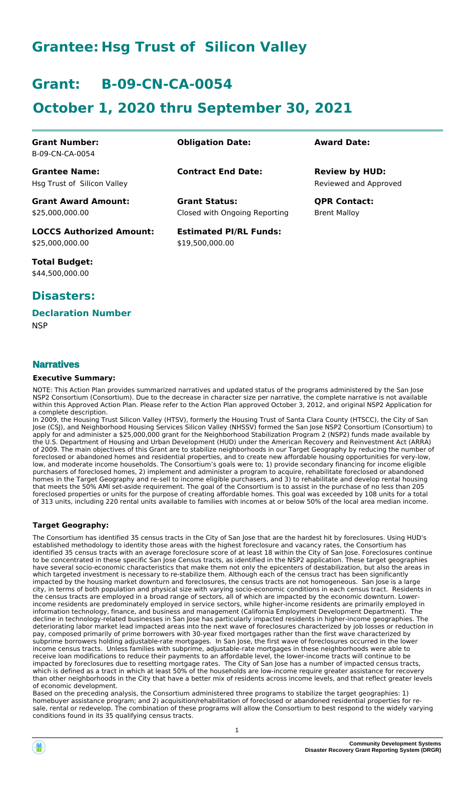# **Grantee: Hsg Trust of Silicon Valley**

# **Grant: B-09-CN-CA-0054**

# **October 1, 2020 thru September 30, 2021**

| <b>Grant Number:</b><br>B-09-CN-CA-0054             | <b>Obligation Date:</b>                               | <b>Award Date:</b>                             |
|-----------------------------------------------------|-------------------------------------------------------|------------------------------------------------|
| <b>Grantee Name:</b><br>Hsg Trust of Silicon Valley | <b>Contract End Date:</b>                             | <b>Review by HUD:</b><br>Reviewed and Approved |
| <b>Grant Award Amount:</b><br>\$25,000,000.00       | <b>Grant Status:</b><br>Closed with Ongoing Reporting | <b>OPR Contact:</b><br><b>Brent Malloy</b>     |
| <b>LOCCS Authorized Amount:</b><br>\$25,000,000.00  | <b>Estimated PI/RL Funds:</b><br>\$19.500.000.00      |                                                |

**Total Budget:** \$44,500,000.00

## **Disasters:**

### **Declaration Number**

**NSP** 

### **Narratives**

#### **Executive Summary:**

NOTE: This Action Plan provides summarized narratives and updated status of the programs administered by the San Jose NSP2 Consortium (Consortium). Due to the decrease in character size per narrative, the complete narrative is not available within this Approved Action Plan. Please refer to the Action Plan approved October 3, 2012, and original NSP2 Application for a complete description.

In 2009, the Housing Trust Silicon Valley (HTSV), formerly the Housing Trust of Santa Clara County (HTSCC), the City of San Jose (CSJ), and Neighborhood Housing Services Silicon Valley (NHSSV) formed the San Jose NSP2 Consortium (Consortium) to apply for and administer a \$25,000,000 grant for the Neighborhood Stabilization Program 2 (NSP2) funds made available by the U.S. Department of Housing and Urban Development (HUD) under the American Recovery and Reinvestment Act (ARRA) of 2009. The main objectives of this Grant are to stabilize neighborhoods in our Target Geography by reducing the number of foreclosed or abandoned homes and residential properties, and to create new affordable housing opportunities for very-low, low, and moderate income households. The Consortium's goals were to; 1) provide secondary financing for income eligible purchasers of foreclosed homes, 2) implement and administer a program to acquire, rehabilitate foreclosed or abandoned homes in the Target Geography and re-sell to income eligible purchasers, and 3) to rehabilitate and develop rental housing that meets the 50% AMI set-aside requirement. The goal of the Consortium is to assist in the purchase of no less than 205 foreclosed properties or units for the purpose of creating affordable homes. This goal was exceeded by 108 units for a total of 313 units, including 220 rental units available to families with incomes at or below 50% of the local area median income.

#### **Target Geography:**

The Consortium has identified 35 census tracts in the City of San Jose that are the hardest hit by foreclosures. Using HUD's established methodology to identity those areas with the highest foreclosure and vacancy rates, the Consortium has identified 35 census tracts with an average foreclosure score of at least 18 within the City of San Jose. Foreclosures continue to be concentrated in these specific San Jose Census tracts, as identified in the NSP2 application. These target geographies have several socio-economic characteristics that make them not only the epicenters of destabilization, but also the areas in which targeted investment is necessary to re-stabilize them. Although each of the census tract has been significantly impacted by the housing market downturn and foreclosures, the census tracts are not homogeneous. San Jose is a large city, in terms of both population and physical size with varying socio-economic conditions in each census tract. Residents in the census tracts are employed in a broad range of sectors, all of which are impacted by the economic downturn. Lowerincome residents are predominately employed in service sectors, while higher-income residents are primarily employed in information technology, finance, and business and management (California Employment Development Department). The decline in technology-related businesses in San Jose has particularly impacted residents in higher-income geographies. The deteriorating labor market lead impacted areas into the next wave of foreclosures characterized by job losses or reduction in pay, composed primarily of prime borrowers with 30-year fixed mortgages rather than the first wave characterized by subprime borrowers holding adjustable-rate mortgages. In San Jose, the first wave of foreclosures occurred in the lower income census tracts. Unless families with subprime, adjustable-rate mortgages in these neighborhoods were able to receive loan modifications to reduce their payments to an affordable level, the lower-income tracts will continue to be impacted by foreclosures due to resetting mortgage rates. The City of San Jose has a number of impacted census tracts, which is defined as a tract in which at least 50% of the households are low-income require greater assistance for recovery than other neighborhoods in the City that have a better mix of residents across income levels, and that reflect greater levels of economic development.

Based on the preceding analysis, the Consortium administered three programs to stabilize the target geographies: 1) homebuyer assistance program; and 2) acquisition/rehabilitation of foreclosed or abandoned residential properties for resale, rental or redevelop. The combination of these programs will allow the Consortium to best respond to the widely varying conditions found in its 35 qualifying census tracts.

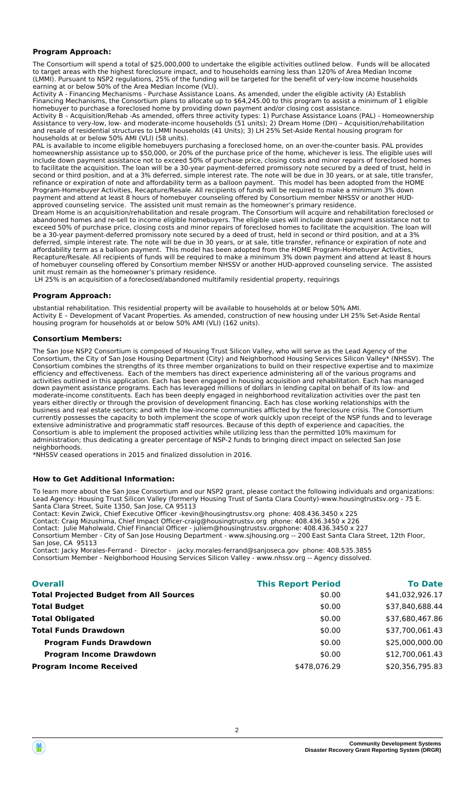#### **Program Approach:**

The Consortium will spend a total of \$25,000,000 to undertake the eligible activities outlined below. Funds will be allocated to target areas with the highest foreclosure impact, and to households earning less than 120% of Area Median Income (LMMI). Pursuant to NSP2 regulations, 25% of the funding will be targeted for the benefit of very-low income households earning at or below 50% of the Area Median Income (VLI).

Activity A - Financing Mechanisms - Purchase Assistance Loans. As amended, under the eligible activity (A) Establish Financing Mechanisms, the Consortium plans to allocate up to \$64,245.00 to this program to assist a minimum of 1 eligible homebuyer to purchase a foreclosed home by providing down payment and/or closing cost assistance.

Activity B – Acquisition/Rehab -As amended, offers three activity types: 1) Purchase Assistance Loans (PAL) - Homeownership Assistance to very-low, low- and moderate-income households (51 units); 2) Dream Home (DH) – Acquisition/rehabilitation and resale of residential structures to LMMI households (41 Units); 3) LH 25% Set-Aside Rental housing program for households at or below 50% AMI (VLI) (58 units).

PAL is available to income eligible homebuyers purchasing a foreclosed home, on an over-the-counter basis. PAL provides homeownership assistance up to \$50,000, or 20% of the purchase price of the home, whichever is less. The eligible uses will include down payment assistance not to exceed 50% of purchase price, closing costs and minor repairs of foreclosed homes to facilitate the acquisition. The loan will be a 30-year payment-deferred promissory note secured by a deed of trust, held in second or third position, and at a 3% deferred, simple interest rate. The note will be due in 30 years, or at sale, title transfer, refinance or expiration of note and affordability term as a balloon payment. This model has been adopted from the HOME Program-Homebuyer Activities, Recapture/Resale. All recipients of funds will be required to make a minimum 3% down payment and attend at least 8 hours of homebuyer counseling offered by Consortium member NHSSV or another HUDapproved counseling service. The assisted unit must remain as the homeowner's primary residence.

Dream Home is an acquisition/rehabilitation and resale program. The Consortium will acquire and rehabilitation foreclosed or abandoned homes and re-sell to income eligible homebuyers. The eligible uses will include down payment assistance not to exceed 50% of purchase price, closing costs and minor repairs of foreclosed homes to facilitate the acquisition. The loan will be a 30-year payment-deferred promissory note secured by a deed of trust, held in second or third position, and at a 3% deferred, simple interest rate. The note will be due in 30 years, or at sale, title transfer, refinance or expiration of note and affordability term as a balloon payment. This model has been adopted from the HOME Program-Homebuyer Activities, Recapture/Resale. All recipients of funds will be required to make a minimum 3% down payment and attend at least 8 hours of homebuyer counseling offered by Consortium member NHSSV or another HUD-approved counseling service. The assisted unit must remain as the homeowner's primary residence.

LH 25% is an acquisition of a foreclosed/abandoned multifamily residential property, requirings

#### **Program Approach:**

ubstantial rehabilitation. This residential property will be available to households at or below 50% AMI. Activity E – Development of Vacant Properties. As amended, construction of new housing under LH 25% Set-Aside Rental housing program for households at or below 50% AMI (VLI) (162 units).

#### **Consortium Members:**

The San Jose NSP2 Consortium is composed of Housing Trust Silicon Valley, who will serve as the Lead Agency of the Consortium, the City of San Jose Housing Department (City) and Neighborhood Housing Services Silicon Valley\* (NHSSV). The Consortium combines the strengths of its three member organizations to build on their respective expertise and to maximize efficiency and effectiveness. Each of the members has direct experience administering all of the various programs and activities outlined in this application. Each has been engaged in housing acquisition and rehabilitation. Each has managed down payment assistance programs. Each has leveraged millions of dollars in lending capital on behalf of its low- and moderate-income constituents. Each has been deeply engaged in neighborhood revitalization activities over the past ten years either directly or through the provision of development financing. Each has close working relationships with the business and real estate sectors; and with the low-income communities afflicted by the foreclosure crisis. The Consortium currently possesses the capacity to both implement the scope of work quickly upon receipt of the NSP funds and to leverage extensive administrative and programmatic staff resources. Because of this depth of experience and capacities, the Consortium is able to implement the proposed activities while utilizing less than the permitted 10% maximum for administration; thus dedicating a greater percentage of NSP-2 funds to bringing direct impact on selected San Jose neighborhoods.

\*NHSSV ceased operations in 2015 and finalized dissolution in 2016.

#### **How to Get Additional Information:**

To learn more about the San Jose Consortium and our NSP2 grant, please contact the following individuals and organizations: Lead Agency: Housing Trust Silicon Valley (formerly Housing Trust of Santa Clara County)-www.housingtrustsv.org - 75 E. Santa Clara Street, Suite 1350, San Jose, CA 95113

Contact: Kevin Zwick, Chief Executive Officer -kevin@housingtrustsv.org phone: 408.436.3450 x 225 Contact: Craig Mizushima, Chief Impact Officer-craig@housingtrustsv.org phone: 408.436.3450 x 226 Contact: Julie Maholwald, Chief Financial Officer - juliem@housingtrustsv.orgphone: 408.436.3450 x 227 Consortium Member - City of San Jose Housing Department - www.sjhousing.org -- 200 East Santa Clara Street, 12th Floor, San Jose, CA 95113

Contact: Jacky Morales-Ferrand - Director - jacky.morales-ferrand@sanjoseca.gov phone: 408.535.3855 Consortium Member - Neighborhood Housing Services Silicon Valley - www.nhssv.org -- Agency dissolved.

| <b>Overall</b>                                 | <b>This Report Period</b> | <b>To Date</b>  |
|------------------------------------------------|---------------------------|-----------------|
| <b>Total Projected Budget from All Sources</b> | \$0.00                    | \$41,032,926.17 |
| <b>Total Budget</b>                            | \$0.00                    | \$37,840,688.44 |
| <b>Total Obligated</b>                         | \$0.00                    | \$37,680,467.86 |
| <b>Total Funds Drawdown</b>                    | \$0.00                    | \$37,700,061.43 |
| <b>Program Funds Drawdown</b>                  | \$0.00                    | \$25,000,000.00 |
| <b>Program Income Drawdown</b>                 | \$0.00                    | \$12,700,061.43 |
| <b>Program Income Received</b>                 | \$478,076.29              | \$20,356,795.83 |
|                                                |                           |                 |

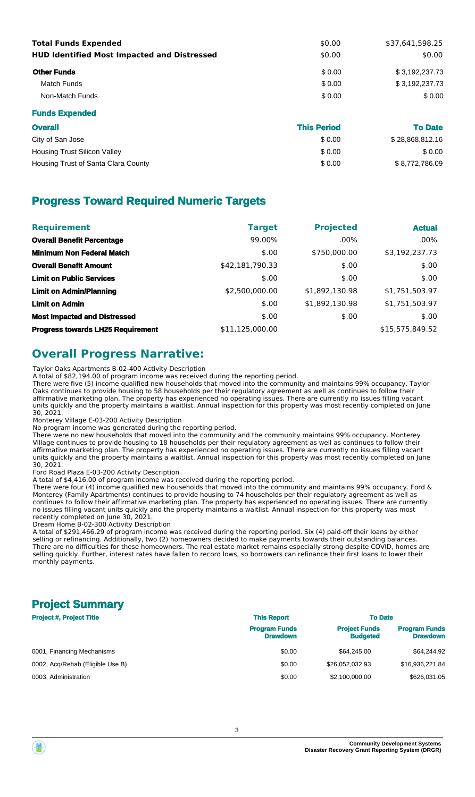| <b>Total Funds Expended</b><br><b>HUD Identified Most Impacted and Distressed</b> | \$0.00<br>\$0.00 | \$37,641,598.25<br>\$0.00 |
|-----------------------------------------------------------------------------------|------------------|---------------------------|
| <b>Other Funds</b>                                                                | \$0.00           | \$3,192,237.73            |
| Match Funds                                                                       | \$0.00           | \$3,192,237.73            |
| Non-Match Funds                                                                   | \$0.00           | \$0.00                    |
| <b>Funds Expended</b>                                                             |                  |                           |

| <b>Overall</b>                      | <b>This Period</b> | <b>To Date</b>  |
|-------------------------------------|--------------------|-----------------|
| City of San Jose                    | \$0.00             | \$28,868,812.16 |
| <b>Housing Trust Silicon Valley</b> | \$0.00             | \$0.00          |
| Housing Trust of Santa Clara County | \$0.00             | \$8,772,786.09  |

## **Progress Toward Required Numeric Targets**

| <b>Requirement</b>                       | <b>Target</b>   | <b>Projected</b> | <b>Actual</b>   |
|------------------------------------------|-----------------|------------------|-----------------|
| <b>Overall Benefit Percentage</b>        | 99.00%          | $.00\%$          | $.00\%$         |
| <b>Minimum Non Federal Match</b>         | \$.00           | \$750,000.00     | \$3,192,237.73  |
| <b>Overall Benefit Amount</b>            | \$42,181,790.33 | \$.00            | \$.00           |
| <b>Limit on Public Services</b>          | \$.00           | \$.00            | \$.00           |
| <b>Limit on Admin/Planning</b>           | \$2,500,000.00  | \$1,892,130.98   | \$1,751,503.97  |
| <b>Limit on Admin</b>                    | \$.00           | \$1,892,130.98   | \$1,751,503.97  |
| <b>Most Impacted and Distressed</b>      | \$.00           | \$.00            | \$.00           |
| <b>Progress towards LH25 Requirement</b> | \$11,125,000.00 |                  | \$15,575,849.52 |

## **Overall Progress Narrative:**

Taylor Oaks Apartments B-02-400 Activity Description

A total of \$82,194.00 of program income was received during the reporting period.

There were five (5) income qualified new households that moved into the community and maintains 99% occupancy. Taylor Oaks continues to provide housing to 58 households per their regulatory agreement as well as continues to follow their affirmative marketing plan. The property has experienced no operating issues. There are currently no issues filling vacant units quickly and the property maintains a waitlist. Annual inspection for this property was most recently completed on June 30, 2021.

Monterey Village E-03-200 Activity Description

No program income was generated during the reporting period.

There were no new households that moved into the community and the community maintains 99% occupancy. Monterey Village continues to provide housing to 18 households per their regulatory agreement as well as continues to follow their affirmative marketing plan. The property has experienced no operating issues. There are currently no issues filling vacant units quickly and the property maintains a waitlist. Annual inspection for this property was most recently completed on June 30, 2021.

Ford Road Plaza E-03-200 Activity Description

A total of \$4,416.00 of program income was received during the reporting period.

There were four (4) income qualified new households that moved into the community and maintains 99% occupancy. Ford & Monterey (Family Apartments) continues to provide housing to 74 households per their regulatory agreement as well as continues to follow their affirmative marketing plan. The property has experienced no operating issues. There are currently no issues filling vacant units quickly and the property maintains a waitlist. Annual inspection for this property was most recently completed on June 30, 2021.

Dream Home B-02-300 Activity Description

A total of \$291,466.29 of program income was received during the reporting period. Six (4) paid-off their loans by either selling or refinancing. Additionally, two (2) homeowners decided to make payments towards their outstanding balances. There are no difficulties for these homeowners. The real estate market remains especially strong despite COVID, homes are selling quickly. Further, interest rates have fallen to record lows, so borrowers can refinance their first loans to lower their monthly payments.

## **Project Summary**

| <b>Project #, Project Title</b>  | <b>This Report</b>                      | <b>To Date</b>                          |                                         |  |
|----------------------------------|-----------------------------------------|-----------------------------------------|-----------------------------------------|--|
|                                  | <b>Program Funds</b><br><b>Drawdown</b> | <b>Project Funds</b><br><b>Budgeted</b> | <b>Program Funds</b><br><b>Drawdown</b> |  |
| 0001, Financing Mechanisms       | \$0.00                                  | \$64,245,00                             | \$64.244.92                             |  |
| 0002, Acq/Rehab (Eligible Use B) | \$0.00                                  | \$26,052,032.93                         | \$16,936,221.84                         |  |
| 0003. Administration             | \$0.00                                  | \$2,100,000,00                          | \$626,031,05                            |  |

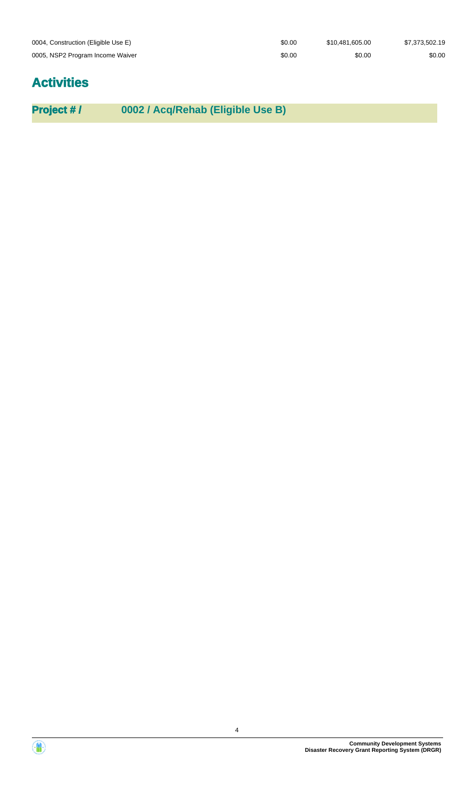| 0004, Construction (Eligible Use E) | \$0.00 | \$10.481.605.00 | \$7,373,502.19 |
|-------------------------------------|--------|-----------------|----------------|
| 0005, NSP2 Program Income Waiver    | \$0.00 | \$0.00          | \$0.00         |

# **Activities**

**Project # / 0002 / Acq/Rehab (Eligible Use B)**

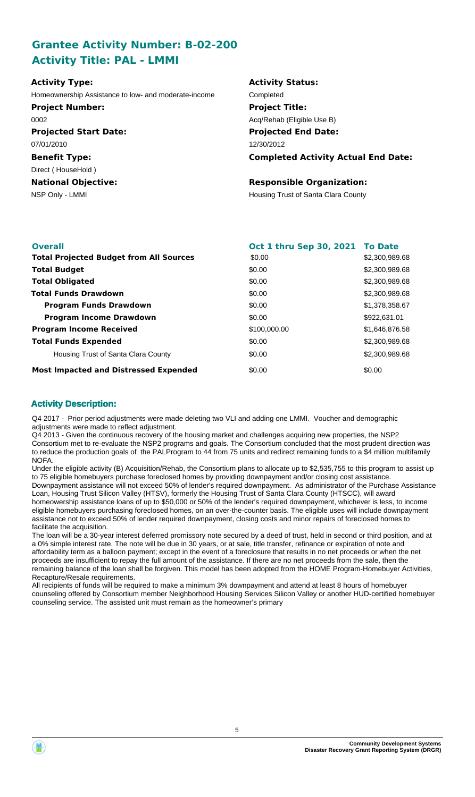## **Grantee Activity Number: B-02-200 Activity Title: PAL - LMMI**

| <b>Activity Type:</b>                                | <b>Activity Status:</b>                    |
|------------------------------------------------------|--------------------------------------------|
| Homeownership Assistance to low- and moderate-income | Completed                                  |
| <b>Project Number:</b>                               | <b>Project Title:</b>                      |
| 0002                                                 | Acq/Rehab (Eligible Use B)                 |
| <b>Projected Start Date:</b>                         | <b>Projected End Date:</b>                 |
| 07/01/2010                                           | 12/30/2012                                 |
| <b>Benefit Type:</b>                                 | <b>Completed Activity Actual End Date:</b> |
| Direct (HouseHold)                                   |                                            |
| <b>National Objective:</b>                           | <b>Responsible Organization:</b>           |
| NSP Only - LMMI                                      | Housing Trust of Santa Clara County        |

| <b>Overall</b>                                 | Oct 1 thru Sep 30, 2021 To Date |                |
|------------------------------------------------|---------------------------------|----------------|
| <b>Total Projected Budget from All Sources</b> | \$0.00                          | \$2,300,989.68 |
| <b>Total Budget</b>                            | \$0.00                          | \$2,300,989.68 |
| <b>Total Obligated</b>                         | \$0.00                          | \$2,300,989.68 |
| <b>Total Funds Drawdown</b>                    | \$0.00                          | \$2,300,989.68 |
| <b>Program Funds Drawdown</b>                  | \$0.00                          | \$1,378,358.67 |
| <b>Program Income Drawdown</b>                 | \$0.00                          | \$922,631,01   |
| <b>Program Income Received</b>                 | \$100,000.00                    | \$1,646,876.58 |
| <b>Total Funds Expended</b>                    | \$0.00                          | \$2,300,989.68 |
| Housing Trust of Santa Clara County            | \$0.00                          | \$2,300,989.68 |
| <b>Most Impacted and Distressed Expended</b>   | \$0.00                          | \$0.00         |

### **Activity Description:**

Q4 2017 - Prior period adjustments were made deleting two VLI and adding one LMMI. Voucher and demographic adjustments were made to reflect adjustment.

Q4 2013 - Given the continuous recovery of the housing market and challenges acquiring new properties, the NSP2 Consortium met to re-evaluate the NSP2 programs and goals. The Consortium concluded that the most prudent direction was to reduce the production goals of the PALProgram to 44 from 75 units and redirect remaining funds to a \$4 million multifamily NOFA.

Under the eligible activity (B) Acquisition/Rehab, the Consortium plans to allocate up to \$2,535,755 to this program to assist up to 75 eligible homebuyers purchase foreclosed homes by providing downpayment and/or closing cost assistance. Downpayment assistance will not exceed 50% of lender's required downpayment. As administrator of the Purchase Assistance Loan, Housing Trust Silicon Valley (HTSV), formerly the Housing Trust of Santa Clara County (HTSCC), will award homeowership assistance loans of up to \$50,000 or 50% of the lender's required downpayment, whichever is less, to income eligible homebuyers purchasing foreclosed homes, on an over-the-counter basis. The eligible uses will include downpayment assistance not to exceed 50% of lender required downpayment, closing costs and minor repairs of foreclosed homes to facilitate the acquisition.

The loan will be a 30-year interest deferred promissory note secured by a deed of trust, held in second or third position, and at a 0% simple interest rate. The note will be due in 30 years, or at sale, title transfer, refinance or expiration of note and affordability term as a balloon payment; except in the event of a foreclosure that results in no net proceeds or when the net proceeds are insufficient to repay the full amount of the assistance. If there are no net proceeds from the sale, then the remaining balance of the loan shall be forgiven. This model has been adopted from the HOME Program-Homebuyer Activities, Recapture/Resale requirements.

All recipients of funds will be required to make a minimum 3% downpayment and attend at least 8 hours of homebuyer counseling offered by Consortium member Neighborhood Housing Services Silicon Valley or another HUD-certified homebuyer counseling service. The assisted unit must remain as the homeowner's primary



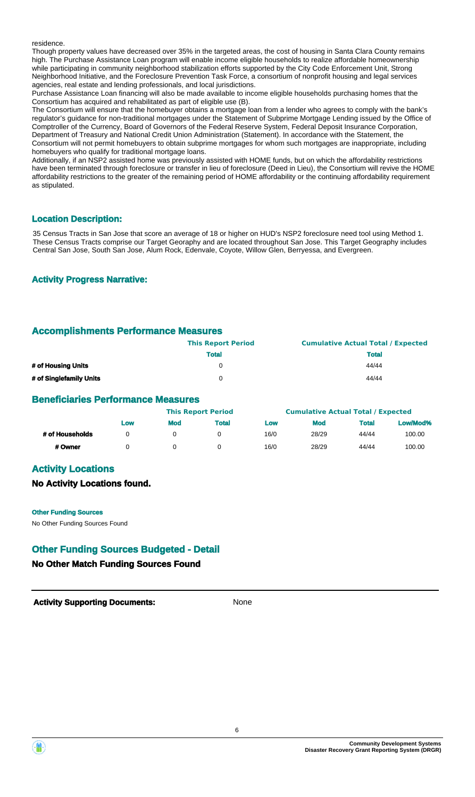residence.

Though property values have decreased over 35% in the targeted areas, the cost of housing in Santa Clara County remains high. The Purchase Assistance Loan program will enable income eligible households to realize affordable homeownership while participating in community neighborhood stabilization efforts supported by the City Code Enforcement Unit, Strong Neighborhood Initiative, and the Foreclosure Prevention Task Force, a consortium of nonprofit housing and legal services agencies, real estate and lending professionals, and local jurisdictions.

Purchase Assistance Loan financing will also be made available to income eligible households purchasing homes that the Consortium has acquired and rehabilitated as part of eligible use (B).

The Consortium will ensure that the homebuyer obtains a mortgage loan from a lender who agrees to comply with the bank's regulator's guidance for non-traditional mortgages under the Statement of Subprime Mortgage Lending issued by the Office of Comptroller of the Currency, Board of Governors of the Federal Reserve System, Federal Deposit Insurance Corporation, Department of Treasury and National Credit Union Administration (Statement). In accordance with the Statement, the Consortium will not permit homebuyers to obtain subprime mortgages for whom such mortgages are inappropriate, including homebuyers who qualify for traditional mortgage loans.

Additionally, if an NSP2 assisted home was previously assisted with HOME funds, but on which the affordability restrictions have been terminated through foreclosure or transfer in lieu of foreclosure (Deed in Lieu), the Consortium will revive the HOME affordability restrictions to the greater of the remaining period of HOME affordability or the continuing affordability requirement as stipulated.

#### **Location Description:**

35 Census Tracts in San Jose that score an average of 18 or higher on HUD's NSP2 foreclosure need tool using Method 1. These Census Tracts comprise our Target Georaphy and are located throughout San Jose. This Target Geography includes Central San Jose, South San Jose, Alum Rock, Edenvale, Coyote, Willow Glen, Berryessa, and Evergreen.

#### **Activity Progress Narrative:**

## **Accomplishments Performance Measures**

|                         | <b>This Report Period</b> | <b>Cumulative Actual Total / Expected</b> |
|-------------------------|---------------------------|-------------------------------------------|
|                         | <b>Total</b>              | <b>Total</b>                              |
| # of Housing Units      |                           | 44/44                                     |
| # of Singlefamily Units |                           | 44/44                                     |

#### **Beneficiaries Performance Measures**

|                 |     |            | <b>This Report Period</b> |      | <b>Cumulative Actual Total / Expected</b> |              |          |
|-----------------|-----|------------|---------------------------|------|-------------------------------------------|--------------|----------|
|                 | Low | <b>Mod</b> | <b>Total</b>              | Low  | <b>Mod</b>                                | <b>Total</b> | Low/Mod% |
| # of Households |     |            |                           | 16/0 | 28/29                                     | 44/44        | 100.00   |
| # Owner         |     |            |                           | 16/0 | 28/29                                     | 44/44        | 100.00   |

## **Activity Locations**

#### **No Activity Locations found.**

**Other Funding Sources**

No Other Funding Sources Found

## **Other Funding Sources Budgeted - Detail**

## **No Other Match Funding Sources Found**

**Activity Supporting Documents:** None



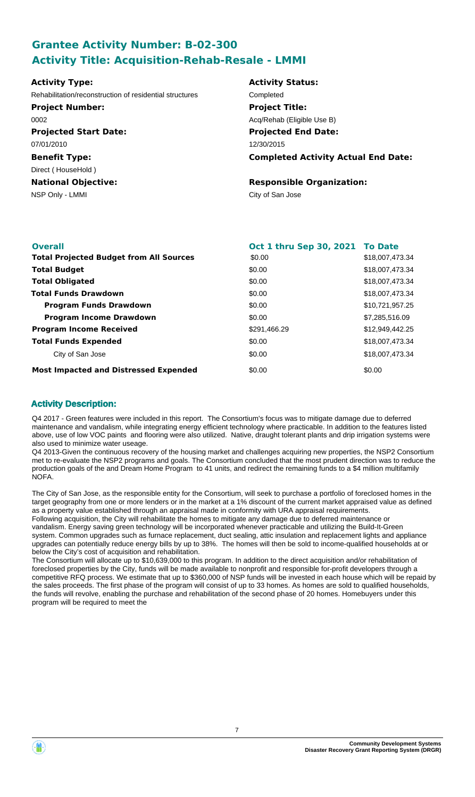## **Grantee Activity Number: B-02-300 Activity Title: Acquisition-Rehab-Resale - LMMI**

| <b>Activity Type:</b>                                   | <b>Activity Status:</b>                    |
|---------------------------------------------------------|--------------------------------------------|
| Rehabilitation/reconstruction of residential structures | Completed                                  |
| <b>Project Number:</b>                                  | <b>Project Title:</b>                      |
| 0002                                                    | Acq/Rehab (Eligible Use B)                 |
| <b>Projected Start Date:</b>                            | <b>Projected End Date:</b>                 |
| 07/01/2010                                              | 12/30/2015                                 |
| <b>Benefit Type:</b>                                    | <b>Completed Activity Actual End Date:</b> |
| Direct (HouseHold)                                      |                                            |
| <b>National Objective:</b>                              | <b>Responsible Organization:</b>           |
| NSP Only - LMMI                                         | City of San Jose                           |
|                                                         |                                            |
|                                                         |                                            |

| <b>Overall</b>                                 | Oct 1 thru Sep 30, 2021 To Date |                 |
|------------------------------------------------|---------------------------------|-----------------|
| <b>Total Projected Budget from All Sources</b> | \$0.00                          | \$18,007,473.34 |
| <b>Total Budget</b>                            | \$0.00                          | \$18,007,473.34 |
| <b>Total Obligated</b>                         | \$0.00                          | \$18,007,473.34 |
| <b>Total Funds Drawdown</b>                    | \$0.00                          | \$18,007,473.34 |
| <b>Program Funds Drawdown</b>                  | \$0.00                          | \$10,721,957.25 |
| <b>Program Income Drawdown</b>                 | \$0.00                          | \$7,285,516.09  |
| <b>Program Income Received</b>                 | \$291,466.29                    | \$12,949,442.25 |
| <b>Total Funds Expended</b>                    | \$0.00                          | \$18,007,473.34 |
| City of San Jose                               | \$0.00                          | \$18,007,473.34 |
| <b>Most Impacted and Distressed Expended</b>   | \$0.00                          | \$0.00          |

## **Activity Description:**

Q4 2017 - Green features were included in this report. The Consortium's focus was to mitigate damage due to deferred maintenance and vandalism, while integrating energy efficient technology where practicable. In addition to the features listed above, use of low VOC paints and flooring were also utilized. Native, draught tolerant plants and drip irrigation systems were also used to minimize water useage.

Q4 2013-Given the continuous recovery of the housing market and challenges acquiring new properties, the NSP2 Consortium met to re-evaluate the NSP2 programs and goals. The Consortium concluded that the most prudent direction was to reduce the production goals of the and Dream Home Program to 41 units, and redirect the remaining funds to a \$4 million multifamily NOFA.

The City of San Jose, as the responsible entity for the Consortium, will seek to purchase a portfolio of foreclosed homes in the target geography from one or more lenders or in the market at a 1% discount of the current market appraised value as defined as a property value established through an appraisal made in conformity with URA appraisal requirements.

Following acquisition, the City will rehabilitate the homes to mitigate any damage due to deferred maintenance or vandalism. Energy saving green technology will be incorporated whenever practicable and utilizing the Build-It-Green system. Common upgrades such as furnace replacement, duct sealing, attic insulation and replacement lights and appliance upgrades can potentially reduce energy bills by up to 38%. The homes will then be sold to income-qualified households at or below the City's cost of acquisition and rehabilitation.

The Consortium will allocate up to \$10,639,000 to this program. In addition to the direct acquisition and/or rehabilitation of foreclosed properties by the City, funds will be made available to nonprofit and responsible for-profit developers through a competitive RFQ process. We estimate that up to \$360,000 of NSP funds will be invested in each house which will be repaid by the sales proceeds. The first phase of the program will consist of up to 33 homes. As homes are sold to qualified households, the funds will revolve, enabling the purchase and rehabilitation of the second phase of 20 homes. Homebuyers under this program will be required to meet the

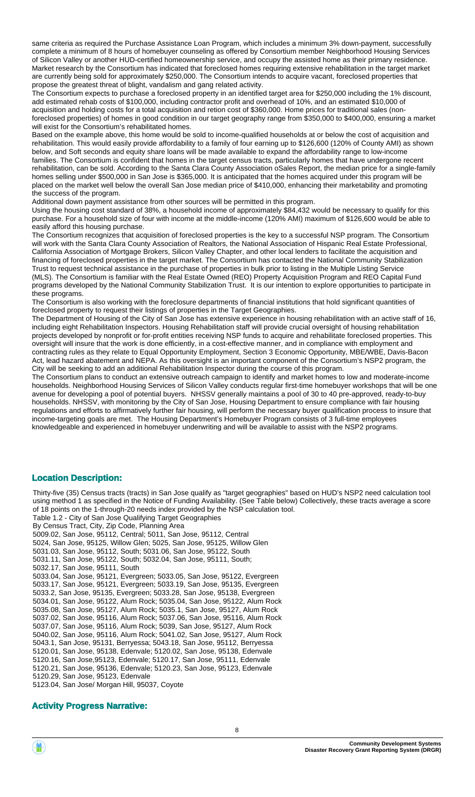same criteria as required the Purchase Assistance Loan Program, which includes a minimum 3% down-payment, successfully complete a minimum of 8 hours of homebuyer counseling as offered by Consortium member Neighborhood Housing Services of Silicon Valley or another HUD-certified homeownership service, and occupy the assisted home as their primary residence. Market research by the Consortium has indicated that foreclosed homes requiring extensive rehabilitation in the target market are currently being sold for approximately \$250,000. The Consortium intends to acquire vacant, foreclosed properties that propose the greatest threat of blight, vandalism and gang related activity.

The Consortium expects to purchase a foreclosed property in an identified target area for \$250,000 including the 1% discount, add estimated rehab costs of \$100,000, including contractor profit and overhead of 10%, and an estimated \$10,000 of acquisition and holding costs for a total acquisition and retion cost of \$360,000. Home prices for traditional sales (nonforeclosed properties) of homes in good condition in our target geography range from \$350,000 to \$400,000, ensuring a market will exist for the Consortium's rehabilitated homes.

Based on the example above, this home would be sold to income-qualified households at or below the cost of acquisition and rehabilitation. This would easily provide affordability to a family of four earning up to \$126,600 (120% of County AMI) as shown below, and Soft seconds and equity share loans will be made available to expand the affordability range to low-income families. The Consortium is confident that homes in the target census tracts, particularly homes that have undergone recent rehabilitation, can be sold. According to the Santa Clara County Association oSales Report, the median price for a single-family homes selling under \$500,000 in San Jose is \$365,000. It is anticipated that the homes acquired under this program will be placed on the market well below the overall San Jose median price of \$410,000, enhancing their marketability and promoting the success of the program.

Additional down payment assistance from other sources will be permitted in this program.

Using the housing cost standard of 38%, a household income of approximately \$84,432 would be necessary to qualify for this purchase. For a household size of four with income at the middle-income (120% AMI) maximum of \$126,600 would be able to easily afford this housing purchase.

The Consortium recognizes that acquisition of foreclosed properties is the key to a successful NSP program. The Consortium will work with the Santa Clara County Association of Realtors, the National Association of Hispanic Real Estate Professional, California Association of Mortgage Brokers, Silicon Valley Chapter, and other local lenders to facilitate the acquisition and financing of foreclosed properties in the target market. The Consortium has contacted the National Community Stabilization Trust to request technical assistance in the purchase of properties in bulk prior to listing in the Multiple Listing Service (MLS). The Consortium is familiar with the Real Estate Owned (REO) Property Acquisition Program and REO Capital Fund programs developed by the National Community Stabilization Trust. It is our intention to explore opportunities to participate in these programs.

The Consortium is also working with the foreclosure departments of financial institutions that hold significant quantities of foreclosed property to request their listings of properties in the Target Geographies.

The Department of Housing of the City of San Jose has extensive experience in housing rehabilitation with an active staff of 16, including eight Rehabilitation Inspectors. Housing Rehabilitation staff will provide crucial oversight of housing rehabilitation projects developed by nonprofit or for-profit entities receiving NSP funds to acquire and rehabilitate foreclosed properties. This oversight will insure that the work is done efficiently, in a cost-effective manner, and in compliance with employment and contracting rules as they relate to Equal Opportunity Employment, Section 3 Economic Opportunity, MBE/WBE, Davis-Bacon Act, lead hazard abatement and NEPA. As this oversight is an important component of the Consortium's NSP2 program, the City will be seeking to add an additional Rehabilitation Inspector during the course of this program.

The Consortium plans to conduct an extensive outreach campaign to identify and market homes to low and moderate-income households. Neighborhood Housing Services of Silicon Valley conducts regular first-time homebuyer workshops that will be one avenue for developing a pool of potential buyers. NHSSV generally maintains a pool of 30 to 40 pre-approved, ready-to-buy households. NHSSV, with monitoring by the City of San Jose, Housing Department to ensure compliance with fair housing regulations and efforts to affirmatively further fair housing, will perform the necessary buyer qualification process to insure that income-targeting goals are met. The Housing Department's Homebuyer Program consists of 3 full-time employees knowledgeable and experienced in homebuyer underwriting and will be available to assist with the NSP2 programs.

#### **Location Description:**

Thirty-five (35) Census tracts (tracts) in San Jose qualify as "target geographies" based on HUD's NSP2 need calculation tool using method 1 as specified in the Notice of Funding Availability. (See Table below) Collectively, these tracts average a score of 18 points on the 1-through-20 needs index provided by the NSP calculation tool. Table 1.2 - City of San Jose Qualifying Target Geographies By Census Tract, City, Zip Code, Planning Area 5009.02, San Jose, 95112, Central; 5011, San Jose, 95112, Central 5024, San Jose, 95125, Willow Glen; 5025, San Jose, 95125, Willow Glen 5031.03, San Jose, 95112, South; 5031.06, San Jose, 95122, South 5031.11, San Jose, 95122, South; 5032.04, San Jose, 95111, South; 5032.17, San Jose, 95111, South 5033.04, San Jose, 95121, Evergreen; 5033.05, San Jose, 95122, Evergreen 5033.17, San Jose, 95121, Evergreen; 5033.19, San Jose, 95135, Evergreen 5033.2, San Jose, 95135, Evergreen; 5033.28, San Jose, 95138, Evergreen 5034.01, San Jose, 95122, Alum Rock; 5035.04, San Jose, 95122, Alum Rock 5035.08, San Jose, 95127, Alum Rock; 5035.1, San Jose, 95127, Alum Rock 5037.02, San Jose, 95116, Alum Rock; 5037.06, San Jose, 95116, Alum Rock 5037.07, San Jose, 95116, Alum Rock; 5039, San Jose, 95127, Alum Rock 5040.02, San Jose, 95116, Alum Rock; 5041.02, San Jose, 95127, Alum Rock 5043.1, San Jose, 95131, Berryessa; 5043.18, San Jose, 95112, Berryessa 5120.01, San Jose, 95138, Edenvale; 5120.02, San Jose, 95138, Edenvale 5120.16, San Jose,95123, Edenvale; 5120.17, San Jose, 95111, Edenvale 5120.21, San Jose, 95136, Edenvale; 5120.23, San Jose, 95123, Edenvale 5120.29, San Jose, 95123, Edenvale 5123.04, San Jose/ Morgan Hill, 95037, Coyote

#### **Activity Progress Narrative:**

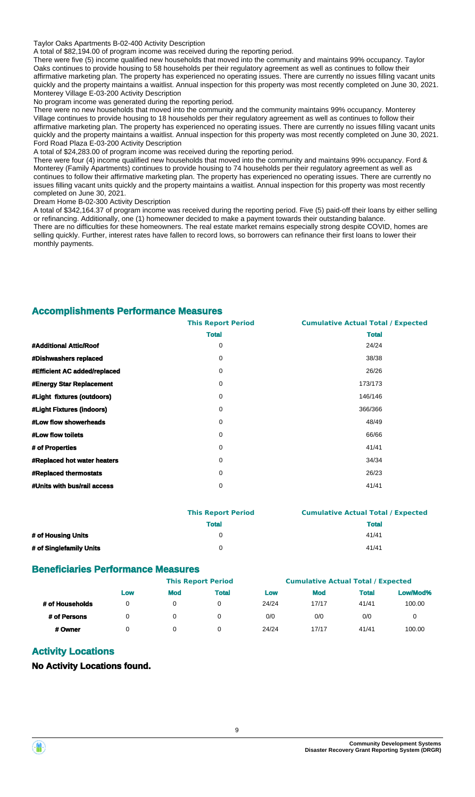Taylor Oaks Apartments B-02-400 Activity Description

A total of \$82,194.00 of program income was received during the reporting period.

There were five (5) income qualified new households that moved into the community and maintains 99% occupancy. Taylor Oaks continues to provide housing to 58 households per their regulatory agreement as well as continues to follow their affirmative marketing plan. The property has experienced no operating issues. There are currently no issues filling vacant units quickly and the property maintains a waitlist. Annual inspection for this property was most recently completed on June 30, 2021. Monterey Village E-03-200 Activity Description

No program income was generated during the reporting period.

There were no new households that moved into the community and the community maintains 99% occupancy. Monterey Village continues to provide housing to 18 households per their regulatory agreement as well as continues to follow their affirmative marketing plan. The property has experienced no operating issues. There are currently no issues filling vacant units quickly and the property maintains a waitlist. Annual inspection for this property was most recently completed on June 30, 2021. Ford Road Plaza E-03-200 Activity Description

A total of \$24,283.00 of program income was received during the reporting period.

There were four (4) income qualified new households that moved into the community and maintains 99% occupancy. Ford & Monterey (Family Apartments) continues to provide housing to 74 households per their regulatory agreement as well as continues to follow their affirmative marketing plan. The property has experienced no operating issues. There are currently no issues filling vacant units quickly and the property maintains a waitlist. Annual inspection for this property was most recently completed on June 30, 2021.

Dream Home B-02-300 Activity Description

A total of \$342,164.37 of program income was received during the reporting period. Five (5) paid-off their loans by either selling or refinancing. Additionally, one (1) homeowner decided to make a payment towards their outstanding balance. There are no difficulties for these homeowners. The real estate market remains especially strong despite COVID, homes are selling quickly. Further, interest rates have fallen to record lows, so borrowers can refinance their first loans to lower their monthly payments.

#### **Accomplishments Performance Measures**

|                                    | <b>This Report Period</b> | <b>Cumulative Actual Total / Expected</b> |
|------------------------------------|---------------------------|-------------------------------------------|
|                                    | <b>Total</b>              | <b>Total</b>                              |
| #Additional Attic/Roof             | 0                         | 24/24                                     |
| #Dishwashers replaced              | 0                         | 38/38                                     |
| #Efficient AC added/replaced       | 0                         | 26/26                                     |
| <b>#Energy Star Replacement</b>    | 0                         | 173/173                                   |
| #Light fixtures (outdoors)         | 0                         | 146/146                                   |
| #Light Fixtures (indoors)          | 0                         | 366/366                                   |
| #Low flow showerheads              | 0                         | 48/49                                     |
| #Low flow toilets                  | 0                         | 66/66                                     |
| # of Properties                    | 0                         | 41/41                                     |
| <b>#Replaced hot water heaters</b> | 0                         | 34/34                                     |
| <b>#Replaced thermostats</b>       | 0                         | 26/23                                     |
| #Units with bus/rail access        | 0                         | 41/41                                     |
|                                    |                           |                                           |

|                         | <b>This Report Period</b> | <b>Cumulative Actual Total / Expected</b> |
|-------------------------|---------------------------|-------------------------------------------|
|                         | <b>Total</b>              | <b>Total</b>                              |
| # of Housing Units      |                           | 41/41                                     |
| # of Singlefamily Units |                           | 41/41                                     |

#### **Beneficiaries Performance Measures**

|                 | <b>This Report Period</b> |            | <b>Cumulative Actual Total / Expected</b> |       |            |              |          |
|-----------------|---------------------------|------------|-------------------------------------------|-------|------------|--------------|----------|
|                 | Low                       | <b>Mod</b> | <b>Total</b>                              | Low   | <b>Mod</b> | <b>Total</b> | Low/Mod% |
| # of Households | 0                         |            |                                           | 24/24 | 17/17      | 41/41        | 100.00   |
| # of Persons    | $\Omega$                  |            |                                           | 0/0   | 0/0        | 0/0          | 0        |
| # Owner         | 0                         |            |                                           | 24/24 | 17/17      | 41/41        | 100.00   |

### **Activity Locations**

**No Activity Locations found.**

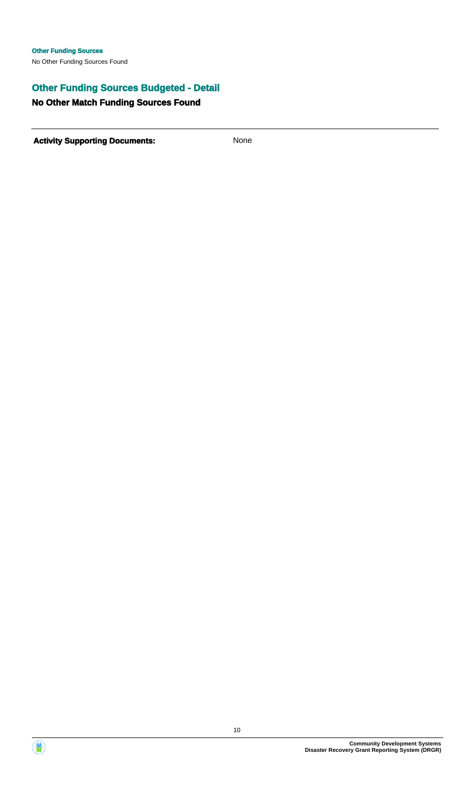## **Other Funding Sources Budgeted - Detail**

## **No Other Match Funding Sources Found**

**Activity Supporting Documents:** None



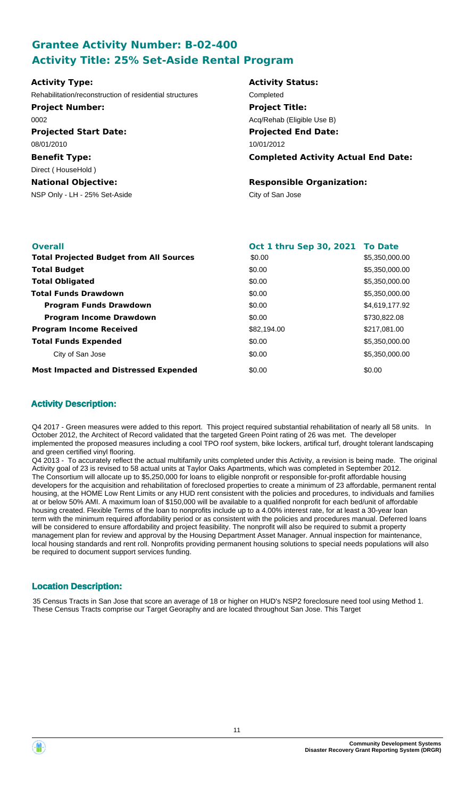## **Grantee Activity Number: B-02-400 Activity Title: 25% Set-Aside Rental Program**

| <b>Overall</b>                                 | Oct 1 thru Sep 30, 2021 To Date |                |
|------------------------------------------------|---------------------------------|----------------|
| <b>Total Projected Budget from All Sources</b> | \$0.00                          | \$5,350,000.00 |
| <b>Total Budget</b>                            | \$0.00                          | \$5,350,000.00 |
| <b>Total Obligated</b>                         | \$0.00                          | \$5,350,000.00 |
| <b>Total Funds Drawdown</b>                    | \$0.00                          | \$5,350,000.00 |
| <b>Program Funds Drawdown</b>                  | \$0.00                          | \$4,619,177.92 |
| <b>Program Income Drawdown</b>                 | \$0.00                          | \$730,822.08   |
| <b>Program Income Received</b>                 | \$82,194.00                     | \$217,081.00   |
| <b>Total Funds Expended</b>                    | \$0.00                          | \$5,350,000.00 |
| City of San Jose                               | \$0.00                          | \$5,350,000.00 |
| <b>Most Impacted and Distressed Expended</b>   | \$0.00                          | \$0.00         |

## **Activity Description:**

Q4 2017 - Green measures were added to this report. This project required substantial rehabilitation of nearly all 58 units. In October 2012, the Architect of Record validated that the targeted Green Point rating of 26 was met. The developer implemented the proposed measures including a cool TPO roof system, bike lockers, artifical turf, drought tolerant landscaping and green certified vinyl flooring.

Q4 2013 - To accurately reflect the actual multifamily units completed under this Activity, a revision is being made. The original Activity goal of 23 is revised to 58 actual units at Taylor Oaks Apartments, which was completed in September 2012. The Consortium will allocate up to \$5,250,000 for loans to eligible nonprofit or responsible for-profit affordable housing developers for the acquisition and rehabilitation of foreclosed properties to create a minimum of 23 affordable, permanent rental housing, at the HOME Low Rent Limits or any HUD rent consistent with the policies and procedures, to individuals and families at or below 50% AMI. A maximum loan of \$150,000 will be available to a qualified nonprofit for each bed/unit of affordable housing created. Flexible Terms of the loan to nonprofits include up to a 4.00% interest rate, for at least a 30-year loan term with the minimum required affordability period or as consistent with the policies and procedures manual. Deferred loans will be considered to ensure affordability and project feasibility. The nonprofit will also be required to submit a property management plan for review and approval by the Housing Department Asset Manager. Annual inspection for maintenance, local housing standards and rent roll. Nonprofits providing permanent housing solutions to special needs populations will also be required to document support services funding.

## **Location Description:**

35 Census Tracts in San Jose that score an average of 18 or higher on HUD's NSP2 foreclosure need tool using Method 1. These Census Tracts comprise our Target Georaphy and are located throughout San Jose. This Target



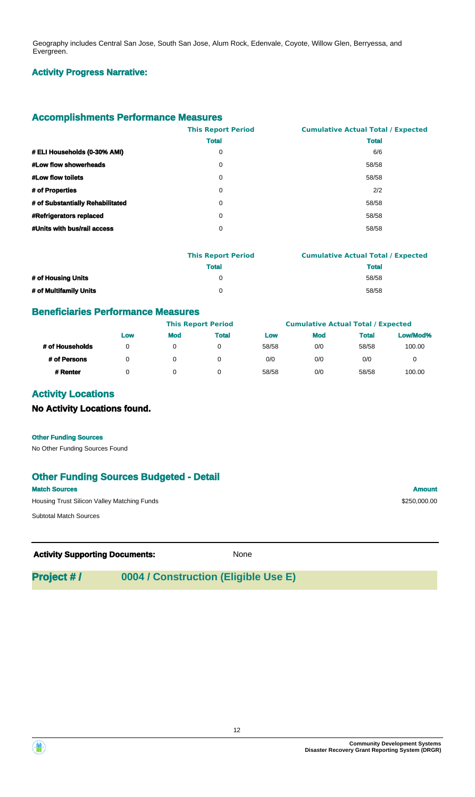Geography includes Central San Jose, South San Jose, Alum Rock, Edenvale, Coyote, Willow Glen, Berryessa, and Evergreen.

### **Activity Progress Narrative:**

## **Accomplishments Performance Measures**

|                                  | <b>This Report Period</b> | <b>Cumulative Actual Total / Expected</b> |
|----------------------------------|---------------------------|-------------------------------------------|
|                                  | <b>Total</b>              | <b>Total</b>                              |
| # ELI Households (0-30% AMI)     | 0                         | 6/6                                       |
| #Low flow showerheads            | 0                         | 58/58                                     |
| #Low flow toilets                | 0                         | 58/58                                     |
| # of Properties                  | 0                         | 2/2                                       |
| # of Substantially Rehabilitated | 0                         | 58/58                                     |
| <b>#Refrigerators replaced</b>   | 0                         | 58/58                                     |
| #Units with bus/rail access      | 0                         | 58/58                                     |
|                                  |                           |                                           |

|                        | <b>This Report Period</b> | <b>Cumulative Actual Total / Expected</b> |
|------------------------|---------------------------|-------------------------------------------|
|                        | <b>Total</b>              | <b>Total</b>                              |
| # of Housing Units     |                           | 58/58                                     |
| # of Multifamily Units |                           | 58/58                                     |

#### **Beneficiaries Performance Measures**

|                 |     |            | <b>This Report Period</b> |       | <b>Cumulative Actual Total / Expected</b> |              |          |
|-----------------|-----|------------|---------------------------|-------|-------------------------------------------|--------------|----------|
|                 | Low | <b>Mod</b> | <b>Total</b>              | Low   | <b>Mod</b>                                | <b>Total</b> | Low/Mod% |
| # of Households | 0   |            |                           | 58/58 | 0/0                                       | 58/58        | 100.00   |
| # of Persons    | 0   |            |                           | 0/0   | 0/0                                       | 0/0          |          |
| # Renter        |     |            |                           | 58/58 | 0/0                                       | 58/58        | 100.00   |

## **Activity Locations**

## **No Activity Locations found.**

#### **Other Funding Sources**

No Other Funding Sources Found

## **Other Funding Sources Budgeted - Detail**

**Match Sources Amount** Housing Trust Silicon Valley Matching Funds **Example 2018** 250,000.00

Subtotal Match Sources

Activity **Supporting Documents:** None

## **Project # / 0004 / Construction (Eligible Use E)**



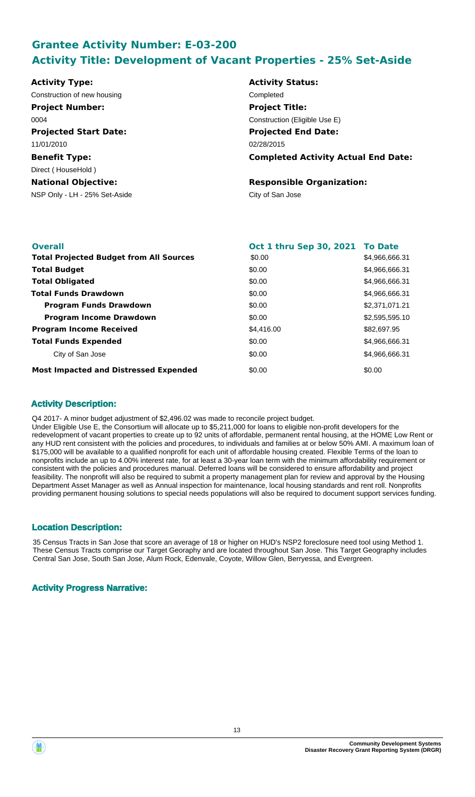## **Grantee Activity Number: E-03-200 Activity Title: Development of Vacant Properties - 25% Set-Aside**

| <b>Activity Status:</b>                    |
|--------------------------------------------|
| Completed                                  |
| <b>Project Title:</b>                      |
| Construction (Eligible Use E)              |
| <b>Projected End Date:</b>                 |
| 02/28/2015                                 |
| <b>Completed Activity Actual End Date:</b> |
|                                            |
| <b>Responsible Organization:</b>           |
| City of San Jose                           |
|                                            |
|                                            |

| <b>Overall</b>                                 | Oct 1 thru Sep 30, 2021 To Date |                |
|------------------------------------------------|---------------------------------|----------------|
| <b>Total Projected Budget from All Sources</b> | \$0.00                          | \$4,966,666.31 |
| <b>Total Budget</b>                            | \$0.00                          | \$4,966,666.31 |
| <b>Total Obligated</b>                         | \$0.00                          | \$4,966,666.31 |
| <b>Total Funds Drawdown</b>                    | \$0.00                          | \$4,966,666,31 |
| <b>Program Funds Drawdown</b>                  | \$0.00                          | \$2,371,071.21 |
| <b>Program Income Drawdown</b>                 | \$0.00                          | \$2,595,595.10 |
| <b>Program Income Received</b>                 | \$4,416,00                      | \$82,697.95    |
| <b>Total Funds Expended</b>                    | \$0.00                          | \$4,966,666.31 |
| City of San Jose                               | \$0.00                          | \$4,966,666.31 |
| <b>Most Impacted and Distressed Expended</b>   | \$0.00                          | \$0.00         |

### **Activity Description:**

Q4 2017- A minor budget adjustment of \$2,496.02 was made to reconcile project budget. Under Eligible Use E, the Consortium will allocate up to \$5,211,000 for loans to eligible non-profit developers for the redevelopment of vacant properties to create up to 92 units of affordable, permanent rental housing, at the HOME Low Rent or any HUD rent consistent with the policies and procedures, to individuals and families at or below 50% AMI. A maximum loan of \$175,000 will be available to a qualified nonprofit for each unit of affordable housing created. Flexible Terms of the loan to nonprofits include an up to 4.00% interest rate, for at least a 30-year loan term with the minimum affordability requirement or consistent with the policies and procedures manual. Deferred loans will be considered to ensure affordability and project feasibility. The nonprofit will also be required to submit a property management plan for review and approval by the Housing Department Asset Manager as well as Annual inspection for maintenance, local housing standards and rent roll. Nonprofits providing permanent housing solutions to special needs populations will also be required to document support services funding.

## **Location Description:**

35 Census Tracts in San Jose that score an average of 18 or higher on HUD's NSP2 foreclosure need tool using Method 1. These Census Tracts comprise our Target Georaphy and are located throughout San Jose. This Target Geography includes Central San Jose, South San Jose, Alum Rock, Edenvale, Coyote, Willow Glen, Berryessa, and Evergreen.

## **Activity Progress Narrative:**